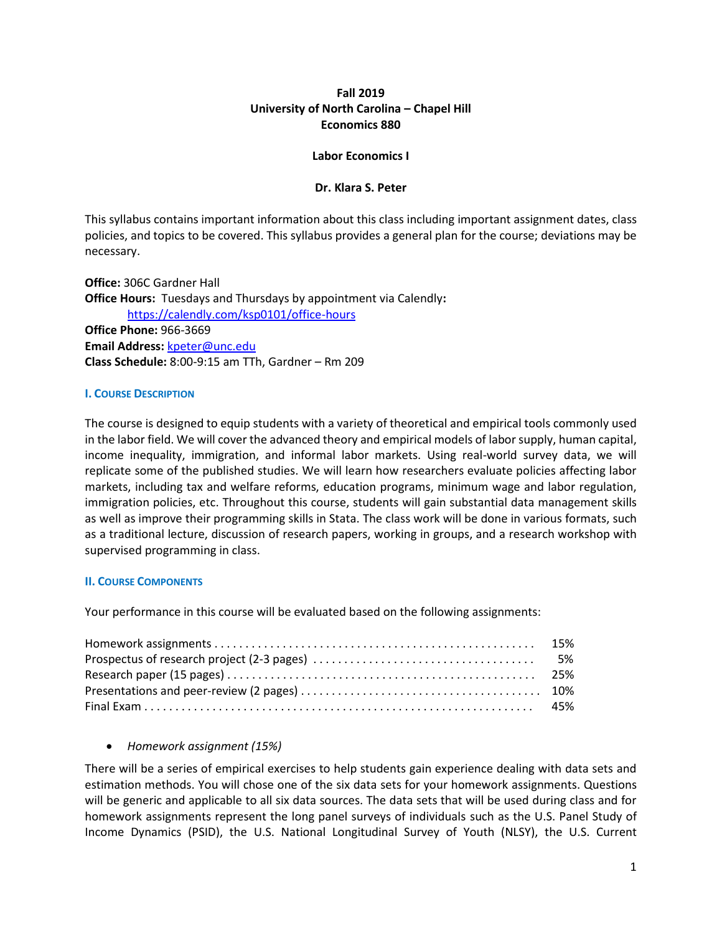# **Fall 2019 University of North Carolina – Chapel Hill Economics 880**

### **Labor Economics I**

## **Dr. Klara S. Peter**

This syllabus contains important information about this class including important assignment dates, class policies, and topics to be covered. This syllabus provides a general plan for the course; deviations may be necessary.

**Office:** 306C Gardner Hall **Office Hours:** Tuesdays and Thursdays by appointment via Calendly**:**  <https://calendly.com/ksp0101/office-hours> **Office Phone:** 966-3669 **Email Address:** [kpeter@unc.edu](mailto:kpeter@unc.edu) **Class Schedule:** 8:00-9:15 am TTh, Gardner – Rm 209

### **I. COURSE DESCRIPTION**

The course is designed to equip students with a variety of theoretical and empirical tools commonly used in the labor field. We will cover the advanced theory and empirical models of labor supply, human capital, income inequality, immigration, and informal labor markets. Using real-world survey data, we will replicate some of the published studies. We will learn how researchers evaluate policies affecting labor markets, including tax and welfare reforms, education programs, minimum wage and labor regulation, immigration policies, etc. Throughout this course, students will gain substantial data management skills as well as improve their programming skills in Stata. The class work will be done in various formats, such as a traditional lecture, discussion of research papers, working in groups, and a research workshop with supervised programming in class.

# **II. COURSE COMPONENTS**

Your performance in this course will be evaluated based on the following assignments:

# *Homework assignment (15%)*

There will be a series of empirical exercises to help students gain experience dealing with data sets and estimation methods. You will chose one of the six data sets for your homework assignments. Questions will be generic and applicable to all six data sources. The data sets that will be used during class and for homework assignments represent the long panel surveys of individuals such as the U.S. Panel Study of Income Dynamics (PSID), the U.S. National Longitudinal Survey of Youth (NLSY), the U.S. Current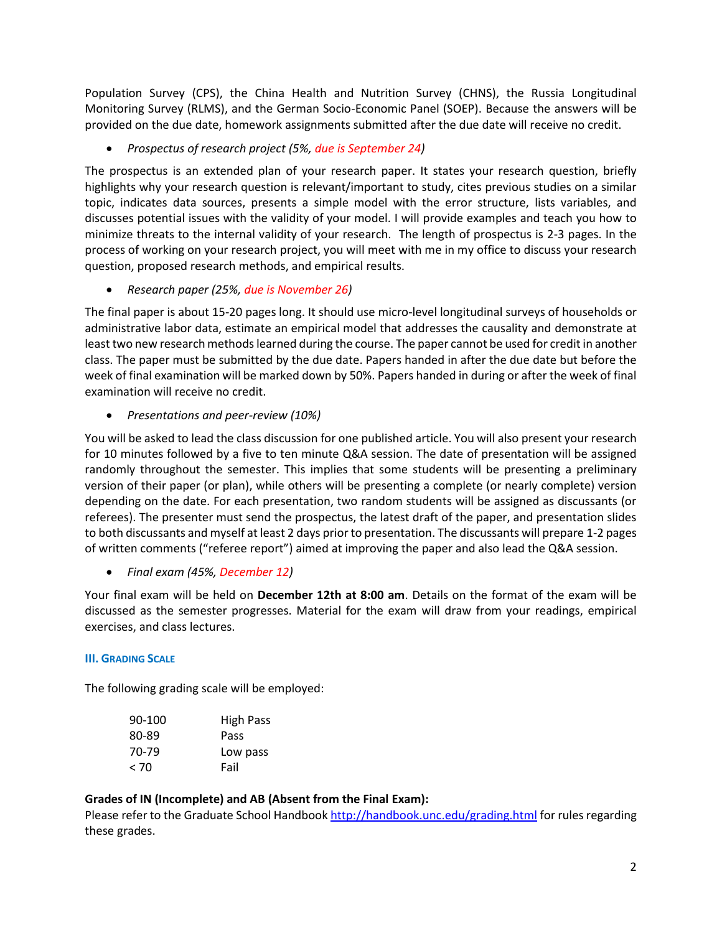Population Survey (CPS), the China Health and Nutrition Survey (CHNS), the Russia Longitudinal Monitoring Survey (RLMS), and the German Socio-Economic Panel (SOEP). Because the answers will be provided on the due date, homework assignments submitted after the due date will receive no credit.

*Prospectus of research project (5%, due is September 24)*

The prospectus is an extended plan of your research paper. It states your research question, briefly highlights why your research question is relevant/important to study, cites previous studies on a similar topic, indicates data sources, presents a simple model with the error structure, lists variables, and discusses potential issues with the validity of your model. I will provide examples and teach you how to minimize threats to the internal validity of your research. The length of prospectus is 2-3 pages. In the process of working on your research project, you will meet with me in my office to discuss your research question, proposed research methods, and empirical results.

*Research paper (25%, due is November 26)*

The final paper is about 15-20 pages long. It should use micro-level longitudinal surveys of households or administrative labor data, estimate an empirical model that addresses the causality and demonstrate at least two new research methods learned during the course. The paper cannot be used for credit in another class. The paper must be submitted by the due date. Papers handed in after the due date but before the week of final examination will be marked down by 50%. Papers handed in during or after the week of final examination will receive no credit.

*Presentations and peer-review (10%)*

You will be asked to lead the class discussion for one published article. You will also present your research for 10 minutes followed by a five to ten minute Q&A session. The date of presentation will be assigned randomly throughout the semester. This implies that some students will be presenting a preliminary version of their paper (or plan), while others will be presenting a complete (or nearly complete) version depending on the date. For each presentation, two random students will be assigned as discussants (or referees). The presenter must send the prospectus, the latest draft of the paper, and presentation slides to both discussants and myself at least 2 days prior to presentation. The discussants will prepare 1-2 pages of written comments ("referee report") aimed at improving the paper and also lead the Q&A session.

*Final exam (45%, December 12)*

Your final exam will be held on **December 12th at 8:00 am**. Details on the format of the exam will be discussed as the semester progresses. Material for the exam will draw from your readings, empirical exercises, and class lectures.

# **III. GRADING SCALE**

The following grading scale will be employed:

| 90-100 | <b>High Pass</b> |
|--------|------------------|
| 80-89  | Pass             |
| 70-79  | Low pass         |
| < 70   | Fail             |
|        |                  |

# **Grades of IN (Incomplete) and AB (Absent from the Final Exam):**

Please refer to the Graduate School Handboo[k http://handbook.unc.edu/grading.html](http://handbook.unc.edu/grading.html) for rules regarding these grades.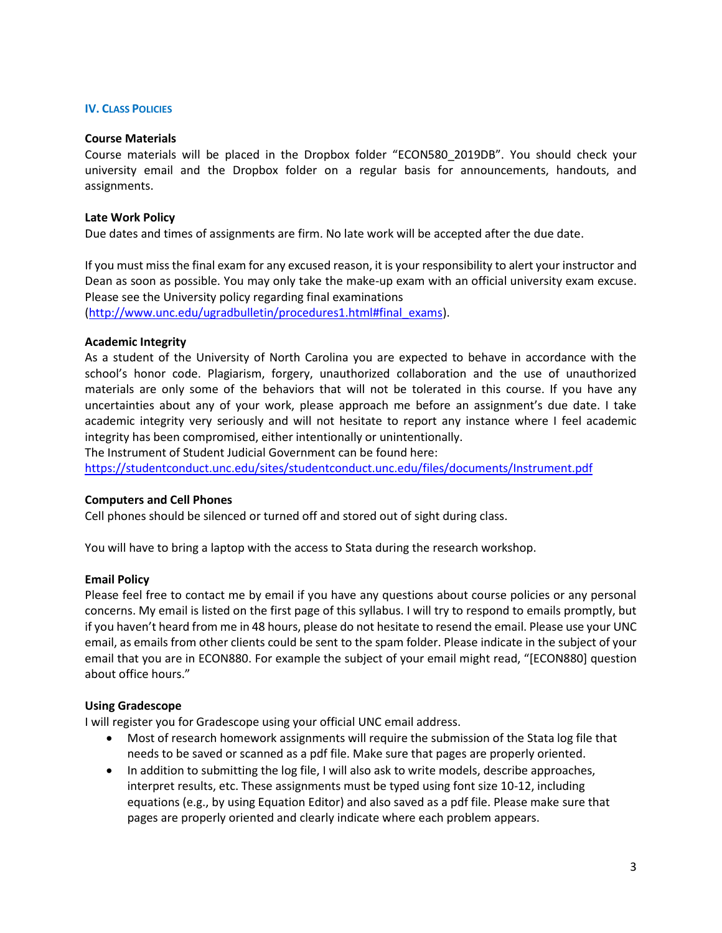### **IV. CLASS POLICIES**

### **Course Materials**

Course materials will be placed in the Dropbox folder "ECON580\_2019DB". You should check your university email and the Dropbox folder on a regular basis for announcements, handouts, and assignments.

## **Late Work Policy**

Due dates and times of assignments are firm. No late work will be accepted after the due date.

If you must miss the final exam for any excused reason, it is your responsibility to alert your instructor and Dean as soon as possible. You may only take the make-up exam with an official university exam excuse. Please see the University policy regarding final examinations [\(http://www.unc.edu/ugradbulletin/procedures1.html#final\\_exams\)](http://www.unc.edu/ugradbulletin/procedures1.html#final_exams).

**Academic Integrity**

As a student of the University of North Carolina you are expected to behave in accordance with the school's honor code. Plagiarism, forgery, unauthorized collaboration and the use of unauthorized materials are only some of the behaviors that will not be tolerated in this course. If you have any uncertainties about any of your work, please approach me before an assignment's due date. I take academic integrity very seriously and will not hesitate to report any instance where I feel academic integrity has been compromised, either intentionally or unintentionally.

The Instrument of Student Judicial Government can be found here:

<https://studentconduct.unc.edu/sites/studentconduct.unc.edu/files/documents/Instrument.pdf>

### **Computers and Cell Phones**

Cell phones should be silenced or turned off and stored out of sight during class.

You will have to bring a laptop with the access to Stata during the research workshop.

### **Email Policy**

Please feel free to contact me by email if you have any questions about course policies or any personal concerns. My email is listed on the first page of this syllabus. I will try to respond to emails promptly, but if you haven't heard from me in 48 hours, please do not hesitate to resend the email. Please use your UNC email, as emails from other clients could be sent to the spam folder. Please indicate in the subject of your email that you are in ECON880. For example the subject of your email might read, "[ECON880] question about office hours."

### **Using Gradescope**

I will register you for Gradescope using your official UNC email address.

- Most of research homework assignments will require the submission of the Stata log file that needs to be saved or scanned as a pdf file. Make sure that pages are properly oriented.
- In addition to submitting the log file, I will also ask to write models, describe approaches, interpret results, etc. These assignments must be typed using font size 10-12, including equations (e.g., by using Equation Editor) and also saved as a pdf file. Please make sure that pages are properly oriented and clearly indicate where each problem appears.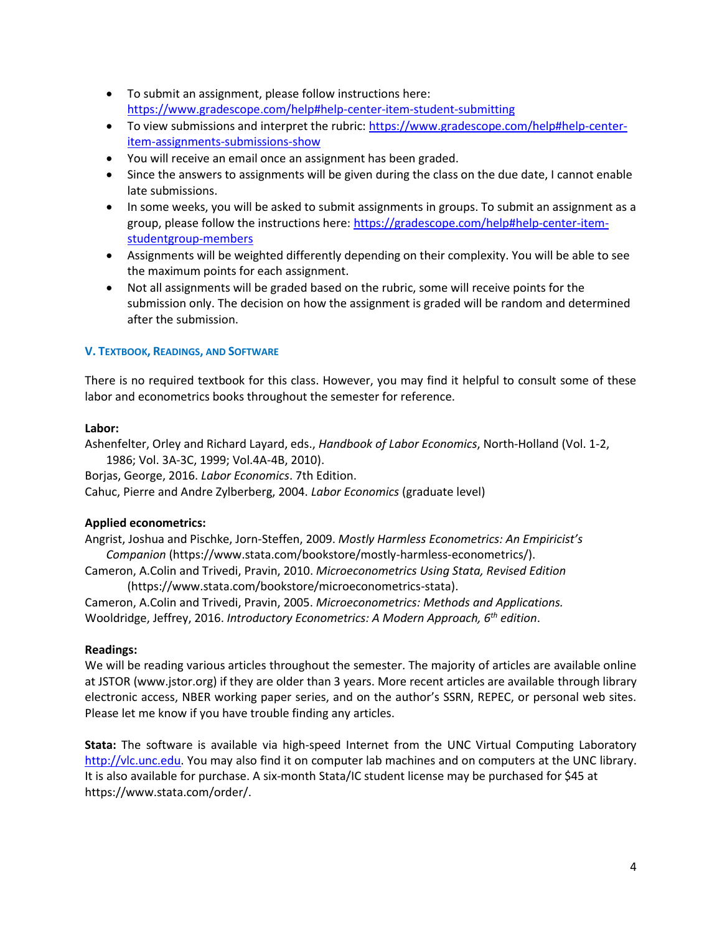- To submit an assignment, please follow instructions here: <https://www.gradescope.com/help#help-center-item-student-submitting>
- To view submissions and interpret the rubric: [https://www.gradescope.com/help#help-center](https://www.gradescope.com/help#help-center-item-assignments-submissions-show)[item-assignments-submissions-show](https://www.gradescope.com/help#help-center-item-assignments-submissions-show)
- You will receive an email once an assignment has been graded.
- Since the answers to assignments will be given during the class on the due date, I cannot enable late submissions.
- In some weeks, you will be asked to submit assignments in groups. To submit an assignment as a group, please follow the instructions here: [https://gradescope.com/help#help-center-item](https://gradescope.com/help#help-center-item-studentgroup-members)[studentgroup-members](https://gradescope.com/help#help-center-item-studentgroup-members)
- Assignments will be weighted differently depending on their complexity. You will be able to see the maximum points for each assignment.
- Not all assignments will be graded based on the rubric, some will receive points for the submission only. The decision on how the assignment is graded will be random and determined after the submission.

# **V. TEXTBOOK, READINGS, AND SOFTWARE**

There is no required textbook for this class. However, you may find it helpful to consult some of these labor and econometrics books throughout the semester for reference.

# **Labor:**

Ashenfelter, Orley and Richard Layard, eds., *Handbook of Labor Economics*, North-Holland (Vol. 1-2, 1986; Vol. 3A-3C, 1999; Vol.4A-4B, 2010).

Borjas, George, 2016. *Labor Economics*. 7th Edition.

Cahuc, Pierre and Andre Zylberberg, 2004. *Labor Economics* (graduate level)

# **Applied econometrics:**

Angrist, Joshua and Pischke, Jorn-Steffen, 2009. *Mostly Harmless Econometrics: An Empiricist's Companion* (https://www.stata.com/bookstore/mostly-harmless-econometrics/). Cameron, A.Colin and Trivedi, Pravin, 2010. *Microeconometrics Using Stata, Revised Edition*

(https://www.stata.com/bookstore/microeconometrics-stata).

Cameron, A.Colin and Trivedi, Pravin, 2005. *Microeconometrics: Methods and Applications.* Wooldridge, Jeffrey, 2016. *Introductory Econometrics: A Modern Approach, 6th edition*.

# **Readings:**

We will be reading various articles throughout the semester. The majority of articles are available online at JSTOR (www.jstor.org) if they are older than 3 years. More recent articles are available through library electronic access, NBER working paper series, and on the author's SSRN, REPEC, or personal web sites. Please let me know if you have trouble finding any articles.

**Stata:** The software is available via high-speed Internet from the UNC Virtual Computing Laboratory [http://vlc.unc.edu.](http://vlc.unc.edu/) You may also find it on computer lab machines and on computers at the UNC library. It is also available for purchase. A six-month Stata/IC student license may be purchased for \$45 at https://www.stata.com/order/.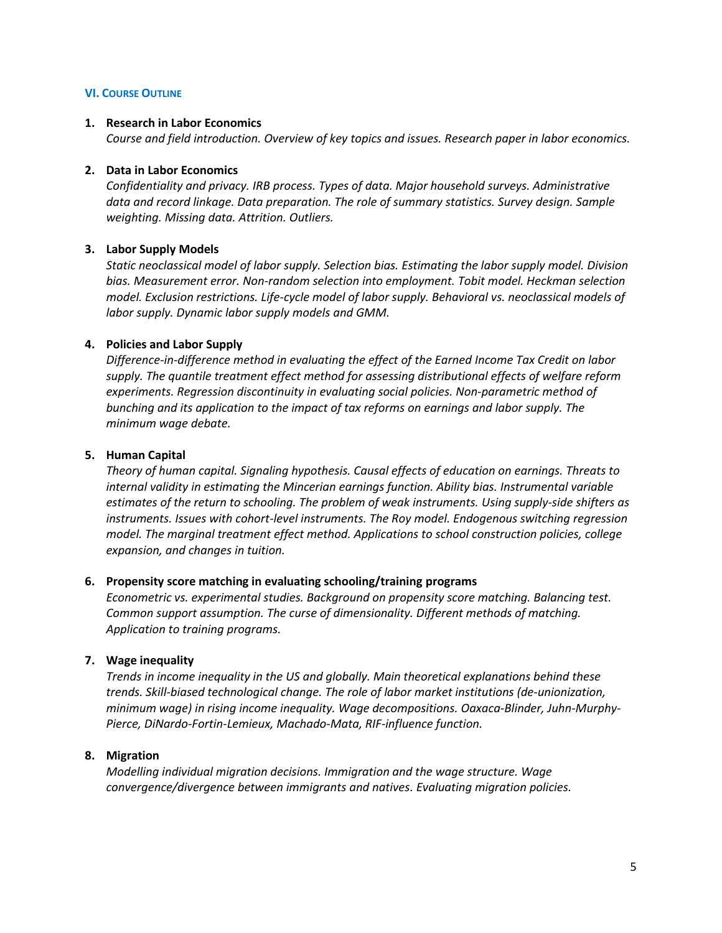### **VI. COURSE OUTLINE**

## **1. Research in Labor Economics**

*Course and field introduction. Overview of key topics and issues. Research paper in labor economics.*

## **2. Data in Labor Economics**

*Confidentiality and privacy. IRB process. Types of data. Major household surveys. Administrative data and record linkage. Data preparation. The role of summary statistics. Survey design. Sample weighting. Missing data. Attrition. Outliers.* 

# **3. Labor Supply Models**

*Static neoclassical model of labor supply. Selection bias. Estimating the labor supply model. Division bias. Measurement error. Non-random selection into employment. Tobit model. Heckman selection model. Exclusion restrictions. Life-cycle model of labor supply. Behavioral vs. neoclassical models of labor supply. Dynamic labor supply models and GMM.*

# **4. Policies and Labor Supply**

*Difference-in-difference method in evaluating the effect of the Earned Income Tax Credit on labor supply. The quantile treatment effect method for assessing distributional effects of welfare reform experiments. Regression discontinuity in evaluating social policies. Non-parametric method of bunching and its application to the impact of tax reforms on earnings and labor supply. The minimum wage debate.*

## **5. Human Capital**

*Theory of human capital. Signaling hypothesis. Causal effects of education on earnings. Threats to internal validity in estimating the Mincerian earnings function. Ability bias. Instrumental variable estimates of the return to schooling. The problem of weak instruments. Using supply-side shifters as instruments. Issues with cohort-level instruments. The Roy model. Endogenous switching regression model. The marginal treatment effect method. Applications to school construction policies, college expansion, and changes in tuition.*

### **6. Propensity score matching in evaluating schooling/training programs**

*Econometric vs. experimental studies. Background on propensity score matching. Balancing test. Common support assumption. The curse of dimensionality. Different methods of matching. Application to training programs.*

# **7. Wage inequality**

*Trends in income inequality in the US and globally. Main theoretical explanations behind these trends. Skill-biased technological change. The role of labor market institutions (de-unionization, minimum wage) in rising income inequality. Wage decompositions. Oaxaca-Blinder, Juhn-Murphy-Pierce, DiNardo-Fortin-Lemieux, Machado-Mata, RIF-influence function.* 

# **8. Migration**

*Modelling individual migration decisions. Immigration and the wage structure. Wage convergence/divergence between immigrants and natives. Evaluating migration policies.*